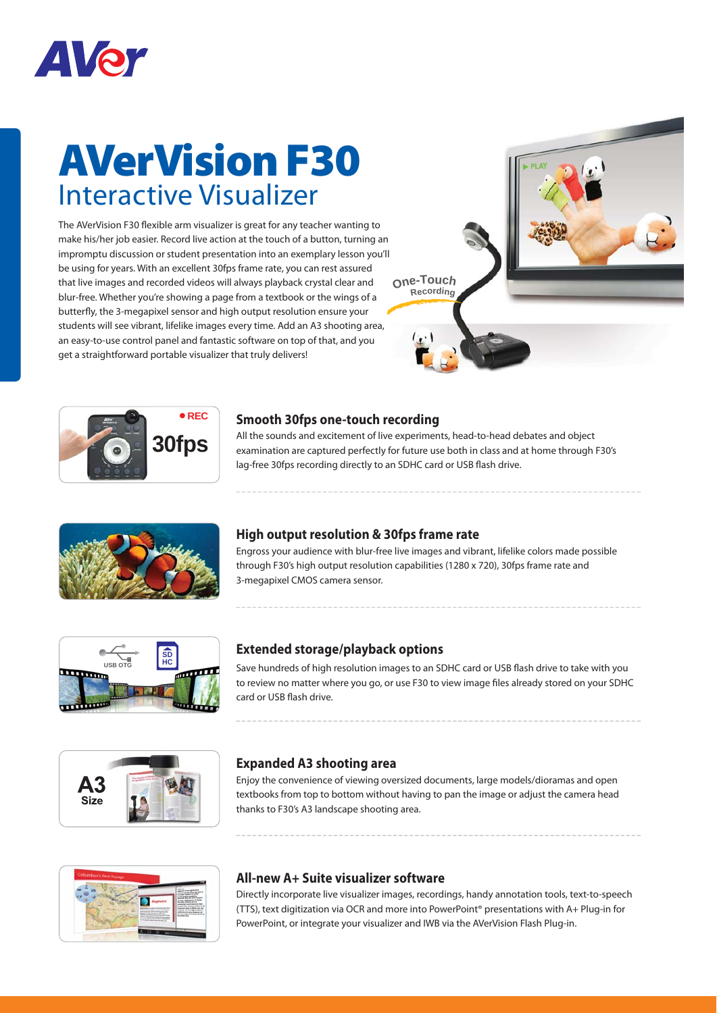

## **AVerVision F30** Interactive Visualizer

The AVerVision F30 flexible arm visualizer is great for any teacher wanting to make his/her job easier. Record live action at the touch of a button, turning an impromptu discussion or student presentation into an exemplary lesson you'll be using for years. With an excellent 30fps frame rate, you can rest assured that live images and recorded videos will always playback crystal clear and blur-free. Whether you're showing a page from a textbook or the wings of a butterfly, the 3-megapixel sensor and high output resolution ensure your students will see vibrant, lifelike images every time. Add an A3 shooting area, an easy-to-use control panel and fantastic software on top of that, and you get a straightforward portable visualizer that truly delivers!





#### **Smooth 30fps one-touch recording**

All the sounds and excitement of live experiments, head-to-head debates and object examination are captured perfectly for future use both in class and at home through F30's lag-free 30fps recording directly to an SDHC card or USB flash drive.



### **High output resolution & 30fps frame rate**

Engross your audience with blur-free live images and vibrant, lifelike colors made possible through F30's high output resolution capabilities (1280 x 720), 30fps frame rate and 3-megapixel CMOS camera sensor.



### **Extended storage/playback options**

Save hundreds of high resolution images to an SDHC card or USB flash drive to take with you to review no matter where you go, or use F30 to view image files already stored on your SDHC card or USB flash drive.



### **Expanded A3 shooting area**

Enjoy the convenience of viewing oversized documents, large models/dioramas and open textbooks from top to bottom without having to pan the image or adjust the camera head thanks to F30's A3 landscape shooting area.



### **All-new A+ Suite visualizer software**

Directly incorporate live visualizer images, recordings, handy annotation tools, text-to-speech (TTS), text digitization via OCR and more into PowerPoint® presentations with A+ Plug-in for PowerPoint, or integrate your visualizer and IWB via the AVerVision Flash Plug-in.